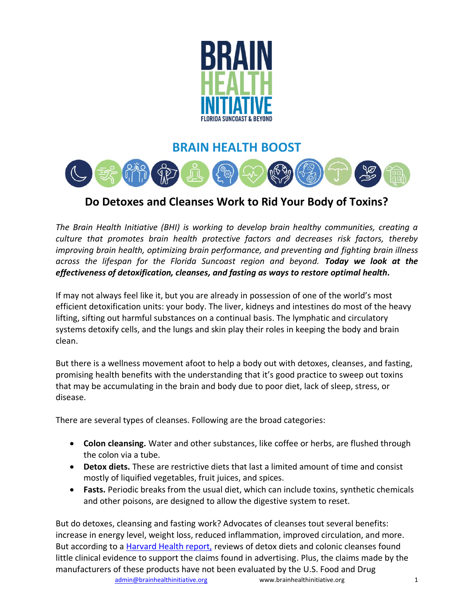

## **BRAIN HEALTH BOOST**



## **Do Detoxes and Cleanses Work to Rid Your Body of Toxins?**

*The Brain Health Initiative (BHI) is working to develop brain healthy communities, creating a culture that promotes brain health protective factors and decreases risk factors, thereby improving brain health, optimizing brain performance, and preventing and fighting brain illness across the lifespan for the Florida Suncoast region and beyond. Today we look at the effectiveness of detoxification, cleanses, and fasting as ways to restore optimal health.*

If may not always feel like it, but you are already in possession of one of the world's most efficient detoxification units: your body. The liver, kidneys and intestines do most of the heavy lifting, sifting out harmful substances on a continual basis. The lymphatic and circulatory systems detoxify cells, and the lungs and skin play their roles in keeping the body and brain clean.

But there is a wellness movement afoot to help a body out with detoxes, cleanses, and fasting, promising health benefits with the understanding that it's good practice to sweep out toxins that may be accumulating in the brain and body due to poor diet, lack of sleep, stress, or disease.

There are several types of cleanses. Following are the broad categories:

- **Colon cleansing.** Water and other substances, like coffee or herbs, are flushed through the colon via a tube.
- **Detox diets.** These are restrictive diets that last a limited amount of time and consist mostly of liquified vegetables, fruit juices, and spices.
- **Fasts.** Periodic breaks from the usual diet, which can include toxins, synthetic chemicals and other poisons, are designed to allow the digestive system to reset.

But do detoxes, cleansing and fasting work? Advocates of cleanses tout several benefits: increase in energy level, weight loss, reduced inflammation, improved circulation, and more. But according to a [Harvard Health report,](https://www.health.harvard.edu/blog/harvard-health-ad-watch-whats-being-cleansed-in-a-detox-cleanse-2020032519294) reviews of detox diets and colonic cleanses found little clinical evidence to support the claims found in advertising. Plus, the claims made by the manufacturers of these products have not been evaluated by the U.S. Food and Drug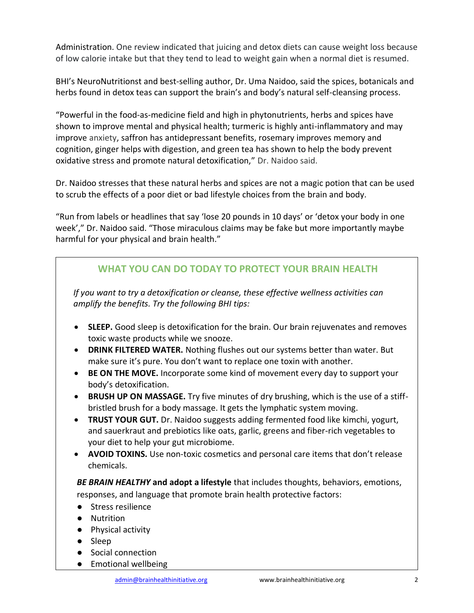Administration. One review indicated that juicing and detox diets can cause weight loss because of low calorie intake but that they tend to lead to weight gain when a normal diet is resumed.

BHI's NeuroNutritionst and best-selling author, Dr. Uma Naidoo, said the spices, botanicals and herbs found in detox teas can support the brain's and body's natural self-cleansing process.

"Powerful in the food-as-medicine field and high in phytonutrients, herbs and spices have shown to improve mental and physical health; turmeric is highly anti-inflammatory and may improve anxiety, saffron has antidepressant benefits, rosemary improves memory and cognition, ginger helps with digestion, and green tea has shown to help the body prevent oxidative stress and promote natural detoxification," Dr. Naidoo said.

Dr. Naidoo stresses that these natural herbs and spices are not a magic potion that can be used to scrub the effects of a poor diet or bad lifestyle choices from the brain and body.

"Run from labels or headlines that say 'lose 20 pounds in 10 days' or 'detox your body in one week'," Dr. Naidoo said. "Those miraculous claims may be fake but more importantly maybe harmful for your physical and brain health."

## **WHAT YOU CAN DO TODAY TO PROTECT YOUR BRAIN HEALTH**

*If you want to try a detoxification or cleanse, these effective wellness activities can amplify the benefits. Try the following BHI tips:*

- **SLEEP.** Good sleep is detoxification for the brain. Our brain rejuvenates and removes toxic waste products while we snooze.
- **DRINK FILTERED WATER.** Nothing flushes out our systems better than water. But make sure it's pure. You don't want to replace one toxin with another.
- **BE ON THE MOVE.** Incorporate some kind of movement every day to support your body's detoxification.
- **BRUSH UP ON MASSAGE.** Try five minutes of dry brushing, which is the use of a stiffbristled brush for a body massage. It gets the lymphatic system moving.
- **TRUST YOUR GUT.** Dr. Naidoo suggests adding fermented food like kimchi, yogurt, and sauerkraut and prebiotics like oats, garlic, greens and fiber-rich vegetables to your diet to help your gut microbiome.
- **AVOID TOXINS.** Use non-toxic cosmetics and personal care items that don't release chemicals.

*BE BRAIN HEALTHY* **and adopt a lifestyle** that includes thoughts, behaviors, emotions, responses, and language that promote brain health protective factors:

- Stress resilience
- Nutrition
- Physical activity
- Sleep
- Social connection
- Emotional wellbeing